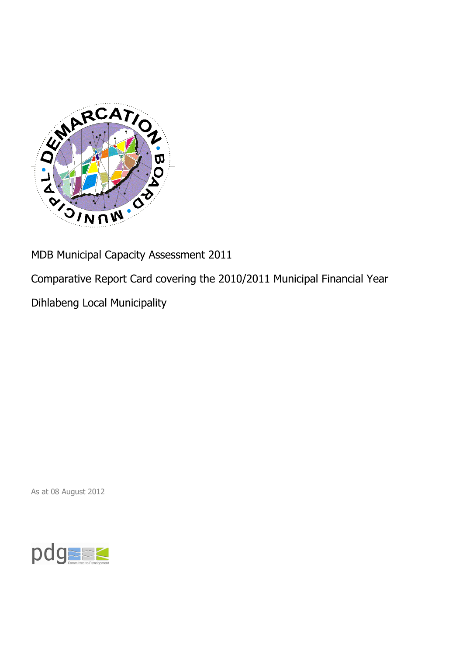

MDB Municipal Capacity Assessment 2011

Comparative Report Card covering the 2010/2011 Municipal Financial Year

Dihlabeng Local Municipality

As at 08 August 2012

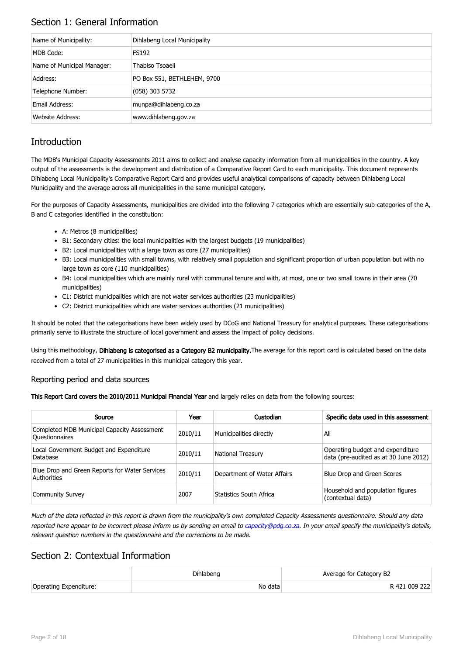## Section 1: General Information

| Name of Municipality:      | Dihlabeng Local Municipality |
|----------------------------|------------------------------|
| MDB Code:                  | <b>FS192</b>                 |
| Name of Municipal Manager: | Thabiso Tsoaeli              |
| Address:                   | PO Box 551, BETHLEHEM, 9700  |
| Telephone Number:          | $(058)$ 303 5732             |
| Email Address:             | munpa@dihlabeng.co.za        |
| Website Address:           | www.dihlabeng.gov.za         |

## **Introduction**

The MDB's Municipal Capacity Assessments 2011 aims to collect and analyse capacity information from all municipalities in the country. A key output of the assessments is the development and distribution of a Comparative Report Card to each municipality. This document represents Dihlabeng Local Municipality's Comparative Report Card and provides useful analytical comparisons of capacity between Dihlabeng Local Municipality and the average across all municipalities in the same municipal category.

For the purposes of Capacity Assessments, municipalities are divided into the following 7 categories which are essentially sub-categories of the A, B and C categories identified in the constitution:

- A: Metros (8 municipalities)
- B1: Secondary cities: the local municipalities with the largest budgets (19 municipalities)
- B2: Local municipalities with a large town as core (27 municipalities)
- B3: Local municipalities with small towns, with relatively small population and significant proportion of urban population but with no large town as core (110 municipalities)
- B4: Local municipalities which are mainly rural with communal tenure and with, at most, one or two small towns in their area (70 municipalities)
- C1: District municipalities which are not water services authorities (23 municipalities)
- C2: District municipalities which are water services authorities (21 municipalities)

It should be noted that the categorisations have been widely used by DCoG and National Treasury for analytical purposes. These categorisations primarily serve to illustrate the structure of local government and assess the impact of policy decisions.

Using this methodology, Dihlabeng is categorised as a Category B2 municipality. The average for this report card is calculated based on the data received from a total of 27 municipalities in this municipal category this year.

### Reporting period and data sources

This Report Card covers the 2010/2011 Municipal Financial Year and largely relies on data from the following sources:

| Source                                                               | Year    | Custodian                   | Specific data used in this assessment                                     |
|----------------------------------------------------------------------|---------|-----------------------------|---------------------------------------------------------------------------|
| Completed MDB Municipal Capacity Assessment<br><b>Ouestionnaires</b> | 2010/11 | Municipalities directly     | All                                                                       |
| Local Government Budget and Expenditure<br>Database                  | 2010/11 | <b>National Treasury</b>    | Operating budget and expenditure<br>data (pre-audited as at 30 June 2012) |
| Blue Drop and Green Reports for Water Services<br>Authorities        | 2010/11 | Department of Water Affairs | Blue Drop and Green Scores                                                |
| <b>Community Survey</b>                                              | 2007    | Statistics South Africa     | Household and population figures<br>(contextual data)                     |

Much of the data reflected in this report is drawn from the municipality's own completed Capacity Assessments questionnaire. Should any data reported here appear to be incorrect please inform us by sending an email to [capacity@pdg.co.za](mailto:capacity@pdg.co.za). In your email specify the municipality's details, relevant question numbers in the questionnaire and the corrections to be made.

### Section 2: Contextual Information

|                        | Dihlabeng | Average for Category B2 |
|------------------------|-----------|-------------------------|
| Operating Expenditure: | No data   | R 421 009 222           |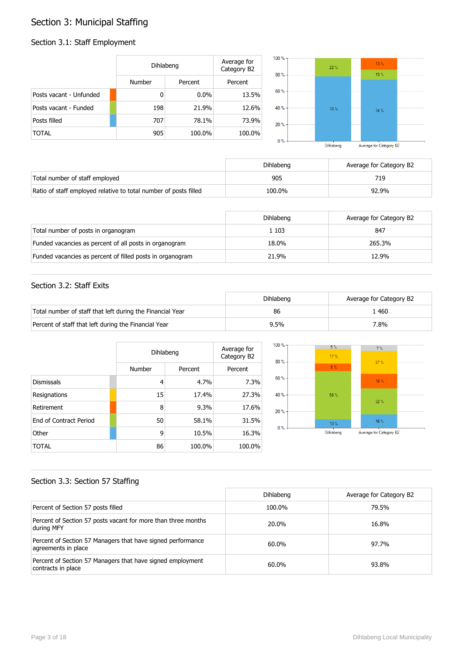# Section 3: Municipal Staffing

## Section 3.1: Staff Employment

|                         | Dihlabeng     |         | Average for<br>Category B2 | $100 \%$ - | $22 \%$ | $13\%$<br>13% |  |
|-------------------------|---------------|---------|----------------------------|------------|---------|---------------|--|
|                         | <b>Number</b> | Percent | Percent                    | $80% -$    |         |               |  |
| Posts vacant - Unfunded | 0             | $0.0\%$ | 13.5%                      | $60 \% -$  |         |               |  |
| Posts vacant - Funded   | 198           | 21.9%   | 12.6%                      | 40 % -     | 78%     | 74 %          |  |
| Posts filled            | 707           | 78.1%   | 73.9%                      | $20% -$    |         |               |  |
| <b>TOTAL</b>            | 905           | 100.0%  | 100.0%                     | $0\%$      |         |               |  |

Dihlabeng Average for Category B2

|                                                                  | Dihlabeng | Average for Category B2 |
|------------------------------------------------------------------|-----------|-------------------------|
| Total number of staff employed                                   | 905       | 719                     |
| Ratio of staff employed relative to total number of posts filled | 100.0%    | 92.9%                   |

|                                                           | Dihlabeng | Average for Category B2 |
|-----------------------------------------------------------|-----------|-------------------------|
| Total number of posts in organogram                       | 1 103     | 847                     |
| Funded vacancies as percent of all posts in organogram    | 18.0%     | 265.3%                  |
| Funded vacancies as percent of filled posts in organogram | 21.9%     | 12.9%                   |

### Section 3.2: Staff Exits

|                                                           | Dihlabeng | Average for Category B2 |
|-----------------------------------------------------------|-----------|-------------------------|
| Total number of staff that left during the Financial Year | 86        | .460                    |
| Percent of staff that left during the Financial Year      | 9.5%      | '.8%                    |

|                               |        | Dihlabeng |         |  |
|-------------------------------|--------|-----------|---------|--|
|                               | Number | Percent   | Percent |  |
| <b>Dismissals</b>             | 4      | 4.7%      | 7.3%    |  |
| Resignations                  | 15     | 17.4%     | 27.3%   |  |
| Retirement                    | 8      | 9.3%      | 17.6%   |  |
| <b>Fnd of Contract Period</b> | 50     | 58.1%     | 31.5%   |  |
| Other                         | 9      | 10.5%     | 16.3%   |  |
| TOTAL                         | 86     | 100.0%    | 100.0%  |  |



### Section 3.3: Section 57 Staffing

|                                                                                    | Dihlabeng | Average for Category B2 |
|------------------------------------------------------------------------------------|-----------|-------------------------|
| Percent of Section 57 posts filled                                                 | 100.0%    | 79.5%                   |
| Percent of Section 57 posts vacant for more than three months<br>during MFY        | 20.0%     | 16.8%                   |
| Percent of Section 57 Managers that have signed performance<br>agreements in place | 60.0%     | 97.7%                   |
| Percent of Section 57 Managers that have signed employment<br>contracts in place   | 60.0%     | 93.8%                   |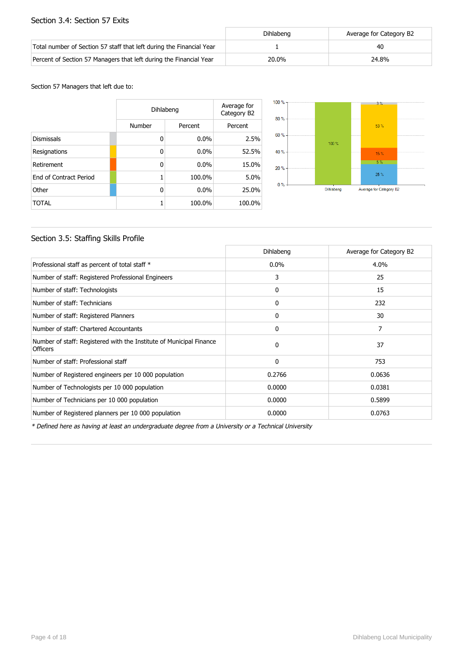### Section 3.4: Section 57 Exits

|                                                                      | Dihlabeng | Average for Category B2 |
|----------------------------------------------------------------------|-----------|-------------------------|
| Total number of Section 57 staff that left during the Financial Year |           | 40                      |
| Percent of Section 57 Managers that left during the Financial Year   | 20.0%     | 24.8%                   |

#### Section 57 Managers that left due to:

|                        |        | Dihlabeng |         |  |
|------------------------|--------|-----------|---------|--|
|                        | Number | Percent   | Percent |  |
| <b>Dismissals</b>      | 0      | $0.0\%$   | 2.5%    |  |
| Resignations           | 0      | 0.0%      | 52.5%   |  |
| Retirement             | 0      | 0.0%      | 15.0%   |  |
| End of Contract Period |        | 100.0%    | 5.0%    |  |
| Other                  | 0      | $0.0\%$   | 25.0%   |  |
| TOTAL                  |        | 100.0%    | 100.0%  |  |



### Section 3.5: Staffing Skills Profile

|                                                                                        | Dihlabeng    | Average for Category B2 |
|----------------------------------------------------------------------------------------|--------------|-------------------------|
| Professional staff as percent of total staff *                                         | $0.0\%$      | 4.0%                    |
| Number of staff: Registered Professional Engineers                                     | 3            | 25                      |
| Number of staff: Technologists                                                         | 0            | 15                      |
| Number of staff: Technicians                                                           | $\mathbf{0}$ | 232                     |
| Number of staff: Registered Planners                                                   | 0            | 30                      |
| Number of staff: Chartered Accountants                                                 | $\Omega$     | 7                       |
| Number of staff: Registered with the Institute of Municipal Finance<br><b>Officers</b> | $\Omega$     | 37                      |
| Number of staff: Professional staff                                                    | $\mathbf{0}$ | 753                     |
| Number of Registered engineers per 10 000 population                                   | 0.2766       | 0.0636                  |
| Number of Technologists per 10 000 population                                          | 0.0000       | 0.0381                  |
| Number of Technicians per 10 000 population                                            | 0.0000       | 0.5899                  |
| Number of Registered planners per 10 000 population                                    | 0.0000       | 0.0763                  |

\* Defined here as having at least an undergraduate degree from a University or a Technical University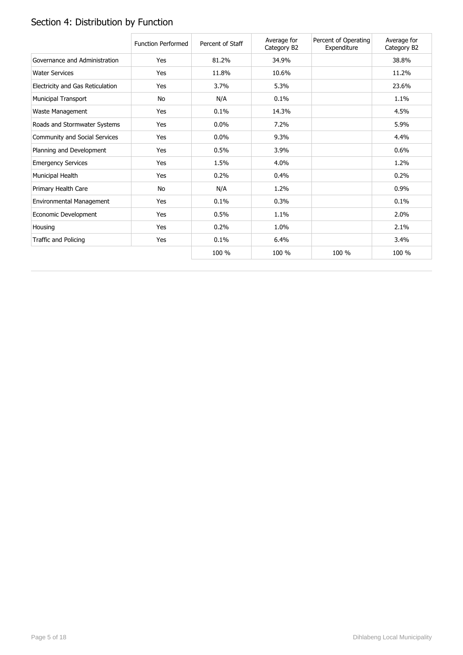# Section 4: Distribution by Function

|                                  | <b>Function Performed</b> | Percent of Staff | Average for<br>Category B2 | Percent of Operating<br>Expenditure | Average for<br>Category B2 |
|----------------------------------|---------------------------|------------------|----------------------------|-------------------------------------|----------------------------|
| Governance and Administration    | Yes                       | 81.2%            | 34.9%                      |                                     | 38.8%                      |
| <b>Water Services</b>            | Yes                       | 11.8%            | 10.6%                      |                                     | 11.2%                      |
| Electricity and Gas Reticulation | Yes                       | 3.7%             | 5.3%                       |                                     | 23.6%                      |
| <b>Municipal Transport</b>       | No                        | N/A              | 0.1%                       |                                     | 1.1%                       |
| Waste Management                 | Yes                       | 0.1%             | 14.3%                      |                                     | 4.5%                       |
| Roads and Stormwater Systems     | Yes                       | 0.0%             | 7.2%                       |                                     | 5.9%                       |
| Community and Social Services    | Yes                       | 0.0%             | 9.3%                       |                                     | 4.4%                       |
| Planning and Development         | Yes                       | 0.5%             | 3.9%                       |                                     | 0.6%                       |
| <b>Emergency Services</b>        | Yes                       | 1.5%             | 4.0%                       |                                     | 1.2%                       |
| Municipal Health                 | Yes                       | 0.2%             | 0.4%                       |                                     | 0.2%                       |
| Primary Health Care              | No                        | N/A              | 1.2%                       |                                     | 0.9%                       |
| Environmental Management         | Yes                       | 0.1%             | 0.3%                       |                                     | 0.1%                       |
| Economic Development             | Yes                       | 0.5%             | 1.1%                       |                                     | 2.0%                       |
| Housing                          | Yes                       | 0.2%             | 1.0%                       |                                     | 2.1%                       |
| Traffic and Policing             | Yes                       | 0.1%             | 6.4%                       |                                     | 3.4%                       |
|                                  |                           | 100 %            | 100 %                      | 100 %                               | 100 %                      |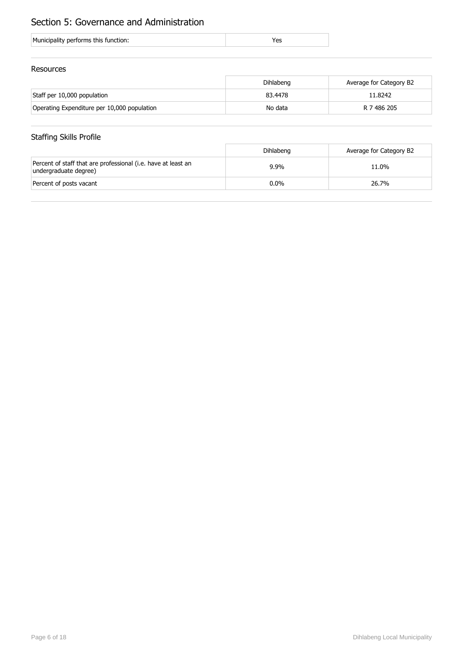## Section 5: Governance and Administration

|  | Municipality performs this function: |  |
|--|--------------------------------------|--|
|--|--------------------------------------|--|

### Resources

|                                             | Dihlabeng | Average for Category B2 |
|---------------------------------------------|-----------|-------------------------|
| Staff per 10,000 population                 | 83.4478   | 11.8242                 |
| Operating Expenditure per 10,000 population | No data   | R 7 486 205             |

## Staffing Skills Profile

|                                                                                        | Dihlabeng | Average for Category B2 |
|----------------------------------------------------------------------------------------|-----------|-------------------------|
| Percent of staff that are professional (i.e. have at least an<br>undergraduate degree) | $9.9\%$   | 11.0%                   |
| Percent of posts vacant                                                                | $0.0\%$   | 26.7%                   |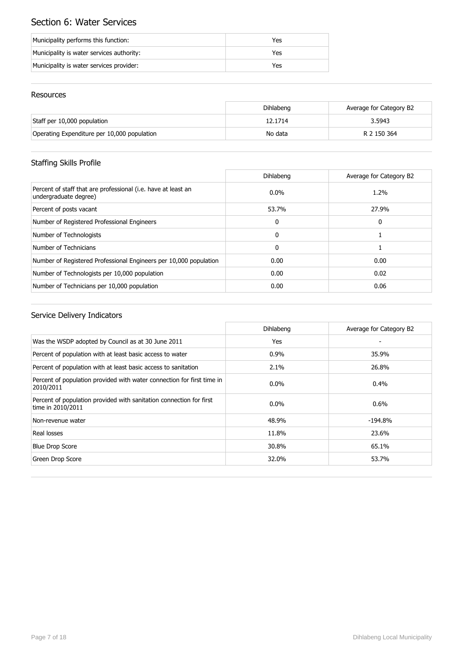# Section 6: Water Services

| Municipality performs this function:      | Yes |
|-------------------------------------------|-----|
| Municipality is water services authority: | Yes |
| Municipality is water services provider:  | Yes |

### Resources

|                                             | Dihlabeng | Average for Category B2 |
|---------------------------------------------|-----------|-------------------------|
| Staff per 10,000 population                 | 12.1714   | 3.5943                  |
| Operating Expenditure per 10,000 population | No data   | R 2 150 364             |

## Staffing Skills Profile

|                                                                                        | Dihlabeng    | Average for Category B2 |
|----------------------------------------------------------------------------------------|--------------|-------------------------|
| Percent of staff that are professional (i.e. have at least an<br>undergraduate degree) | $0.0\%$      | 1.2%                    |
| Percent of posts vacant                                                                | 53.7%        | 27.9%                   |
| Number of Registered Professional Engineers                                            | $\mathbf{0}$ | 0                       |
| Number of Technologists                                                                | $\mathbf{0}$ |                         |
| Number of Technicians                                                                  | $\mathbf{0}$ |                         |
| Number of Registered Professional Engineers per 10,000 population                      | 0.00         | 0.00                    |
| Number of Technologists per 10,000 population                                          | 0.00         | 0.02                    |
| Number of Technicians per 10,000 population                                            | 0.00         | 0.06                    |

|                                                                                          | Dihlabeng | Average for Category B2 |
|------------------------------------------------------------------------------------------|-----------|-------------------------|
| Was the WSDP adopted by Council as at 30 June 2011                                       | Yes       |                         |
| Percent of population with at least basic access to water                                | 0.9%      | 35.9%                   |
| Percent of population with at least basic access to sanitation                           | 2.1%      | 26.8%                   |
| Percent of population provided with water connection for first time in<br>2010/2011      | $0.0\%$   | $0.4\%$                 |
| Percent of population provided with sanitation connection for first<br>time in 2010/2011 | $0.0\%$   | $0.6\%$                 |
| Non-revenue water                                                                        | 48.9%     | $-194.8\%$              |
| Real losses                                                                              | 11.8%     | 23.6%                   |
| <b>Blue Drop Score</b>                                                                   | 30.8%     | 65.1%                   |
| Green Drop Score                                                                         | 32.0%     | 53.7%                   |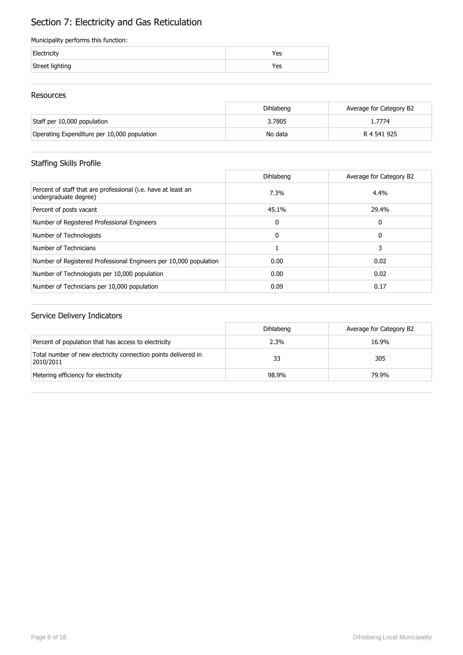# Section 7: Electricity and Gas Reticulation

### Municipality performs this function:

| Electricity     | 'es |
|-----------------|-----|
| Street lighting | res |

### Resources

|                                             | Dihlabeng | Average for Category B2 |
|---------------------------------------------|-----------|-------------------------|
| Staff per 10,000 population                 | 3.7805    | l.7774                  |
| Operating Expenditure per 10,000 population | No data   | R 4 541 925             |

## Staffing Skills Profile

|                                                                                        | Dihlabeng | Average for Category B2 |
|----------------------------------------------------------------------------------------|-----------|-------------------------|
| Percent of staff that are professional (i.e. have at least an<br>undergraduate degree) | 7.3%      | $4.4\%$                 |
| Percent of posts vacant                                                                | 45.1%     | 29.4%                   |
| Number of Registered Professional Engineers                                            | 0         | 0                       |
| Number of Technologists                                                                | 0         | 0                       |
| Number of Technicians                                                                  |           | 3                       |
| Number of Registered Professional Engineers per 10,000 population                      | 0.00      | 0.02                    |
| Number of Technologists per 10,000 population                                          | 0.00      | 0.02                    |
| Number of Technicians per 10,000 population                                            | 0.09      | 0.17                    |

|                                                                             | Dihlabeng | Average for Category B2 |
|-----------------------------------------------------------------------------|-----------|-------------------------|
| Percent of population that has access to electricity                        | 2.3%      | 16.9%                   |
| Total number of new electricity connection points delivered in<br>2010/2011 | 33        | 305                     |
| Metering efficiency for electricity                                         | 98.9%     | 79.9%                   |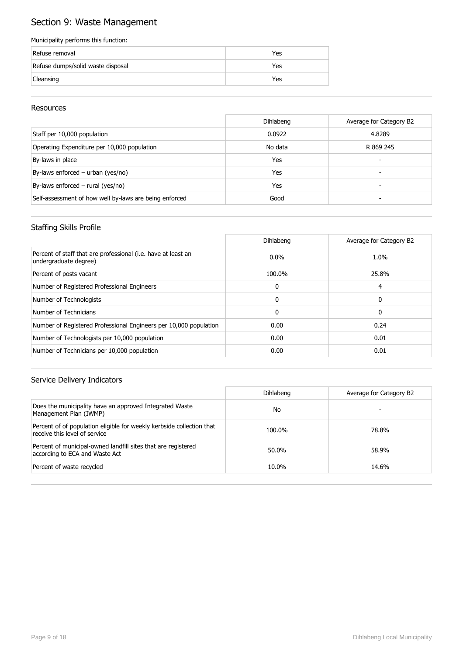# Section 9: Waste Management

### Municipality performs this function:

| Refuse removal                    | Yes |
|-----------------------------------|-----|
| Refuse dumps/solid waste disposal | Yes |
| Cleansing                         | Yes |

### Resources

|                                                        | Dihlabeng | Average for Category B2 |
|--------------------------------------------------------|-----------|-------------------------|
| Staff per 10,000 population                            | 0.0922    | 4.8289                  |
| Operating Expenditure per 10,000 population            | No data   | R 869 245               |
| By-laws in place                                       | Yes       | -                       |
| By-laws enforced - urban (yes/no)                      | Yes       |                         |
| By-laws enforced $-$ rural (yes/no)                    | Yes       |                         |
| Self-assessment of how well by-laws are being enforced | Good      |                         |

### Staffing Skills Profile

|                                                                                        | Dihlabeng    | Average for Category B2 |
|----------------------------------------------------------------------------------------|--------------|-------------------------|
| Percent of staff that are professional (i.e. have at least an<br>undergraduate degree) | $0.0\%$      | 1.0%                    |
| Percent of posts vacant                                                                | 100.0%       | 25.8%                   |
| Number of Registered Professional Engineers                                            | $\Omega$     | 4                       |
| Number of Technologists                                                                | $\Omega$     | 0                       |
| Number of Technicians                                                                  | $\mathbf{0}$ | 0                       |
| Number of Registered Professional Engineers per 10,000 population                      | 0.00         | 0.24                    |
| Number of Technologists per 10,000 population                                          | 0.00         | 0.01                    |
| Number of Technicians per 10,000 population                                            | 0.00         | 0.01                    |

|                                                                                                        | Dihlabeng | Average for Category B2 |
|--------------------------------------------------------------------------------------------------------|-----------|-------------------------|
| Does the municipality have an approved Integrated Waste<br>Management Plan (IWMP)                      | No        |                         |
| Percent of of population eligible for weekly kerbside collection that<br>receive this level of service | 100.0%    | 78.8%                   |
| Percent of municipal-owned landfill sites that are registered<br>according to ECA and Waste Act        | 50.0%     | 58.9%                   |
| Percent of waste recycled                                                                              | 10.0%     | 14.6%                   |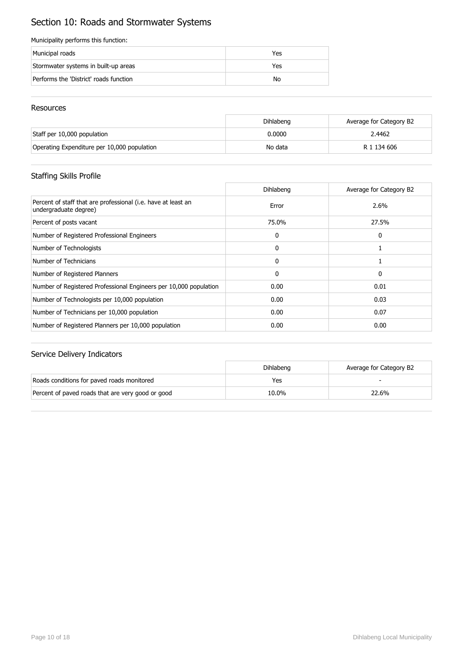# Section 10: Roads and Stormwater Systems

### Municipality performs this function:

| Municipal roads                        | Yes |
|----------------------------------------|-----|
| Stormwater systems in built-up areas   | Yes |
| Performs the 'District' roads function | No  |

### Resources

|                                             | <b>Dihlabeng</b> | Average for Category B2 |
|---------------------------------------------|------------------|-------------------------|
| Staff per 10,000 population                 | 0.0000           | 2.4462                  |
| Operating Expenditure per 10,000 population | No data          | R 1 134 606             |

## Staffing Skills Profile

|                                                                                        | Dihlabeng    | Average for Category B2 |
|----------------------------------------------------------------------------------------|--------------|-------------------------|
| Percent of staff that are professional (i.e. have at least an<br>undergraduate degree) | Error        | 2.6%                    |
| Percent of posts vacant                                                                | 75.0%        | 27.5%                   |
| Number of Registered Professional Engineers                                            | 0            | 0                       |
| Number of Technologists                                                                | $\mathbf{0}$ |                         |
| Number of Technicians                                                                  | $\mathbf{0}$ |                         |
| Number of Registered Planners                                                          | $\mathbf{0}$ | 0                       |
| Number of Registered Professional Engineers per 10,000 population                      | 0.00         | 0.01                    |
| Number of Technologists per 10,000 population                                          | 0.00         | 0.03                    |
| Number of Technicians per 10,000 population                                            | 0.00         | 0.07                    |
| Number of Registered Planners per 10,000 population                                    | 0.00         | 0.00                    |

|                                                   | <b>Dihlabeng</b> | Average for Category B2 |
|---------------------------------------------------|------------------|-------------------------|
| Roads conditions for paved roads monitored        | Yes              |                         |
| Percent of paved roads that are very good or good | 10.0%            | 22.6%                   |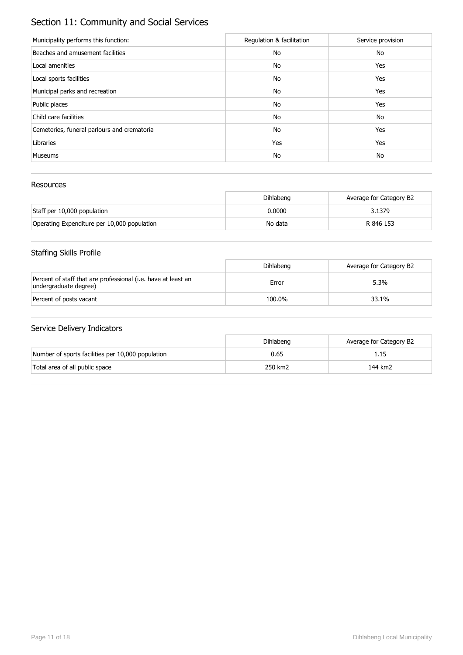# Section 11: Community and Social Services

| Municipality performs this function:        | Regulation & facilitation | Service provision |
|---------------------------------------------|---------------------------|-------------------|
| Beaches and amusement facilities            | No                        | No                |
| Local amenities                             | No                        | Yes               |
| Local sports facilities                     | No                        | Yes               |
| Municipal parks and recreation              | No                        | Yes               |
| Public places                               | No                        | Yes               |
| Child care facilities                       | No                        | No                |
| Cemeteries, funeral parlours and crematoria | No                        | Yes               |
| Libraries                                   | Yes                       | Yes               |
| <b>Museums</b>                              | No                        | No                |

### Resources

|                                             | Dihlabeng | Average for Category B2 |
|---------------------------------------------|-----------|-------------------------|
| Staff per 10,000 population                 | 0.0000    | 3.1379                  |
| Operating Expenditure per 10,000 population | No data   | R 846 153               |

## Staffing Skills Profile

|                                                                                        | Dihlabeng | Average for Category B2 |
|----------------------------------------------------------------------------------------|-----------|-------------------------|
| Percent of staff that are professional (i.e. have at least an<br>undergraduate degree) | Error     | 5.3%                    |
| Percent of posts vacant                                                                | 100.0%    | 33.1%                   |

|                                                   | <b>Dihlabeng</b> | Average for Category B2 |
|---------------------------------------------------|------------------|-------------------------|
| Number of sports facilities per 10,000 population | 0.65             | 1.15                    |
| Total area of all public space                    | 250 km2          | 144 km2                 |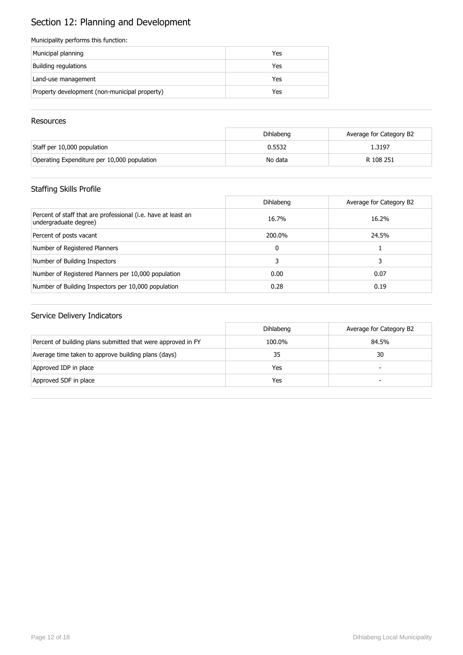# Section 12: Planning and Development

### Municipality performs this function:

| Municipal planning                            | Yes |
|-----------------------------------------------|-----|
| Building regulations                          | Yes |
| Land-use management                           | Yes |
| Property development (non-municipal property) | Yes |

### **Resources**

|                                             | Dihlabeng | Average for Category B2 |
|---------------------------------------------|-----------|-------------------------|
| Staff per 10,000 population                 | 0.5532    | 1.3197                  |
| Operating Expenditure per 10,000 population | No data   | R 108 251               |

## Staffing Skills Profile

|                                                                                        | Dihlabeng | Average for Category B2 |
|----------------------------------------------------------------------------------------|-----------|-------------------------|
| Percent of staff that are professional (i.e. have at least an<br>undergraduate degree) | 16.7%     | 16.2%                   |
| Percent of posts vacant                                                                | 200.0%    | 24.5%                   |
| Number of Registered Planners                                                          | 0         |                         |
| Number of Building Inspectors                                                          | 3.        | 3                       |
| Number of Registered Planners per 10,000 population                                    | 0.00      | 0.07                    |
| Number of Building Inspectors per 10,000 population                                    | 0.28      | 0.19                    |

|                                                              | Dihlabeng | Average for Category B2  |
|--------------------------------------------------------------|-----------|--------------------------|
| Percent of building plans submitted that were approved in FY | 100.0%    | 84.5%                    |
| Average time taken to approve building plans (days)          | 35        | 30                       |
| Approved IDP in place                                        | Yes       | $\overline{\phantom{0}}$ |
| Approved SDF in place                                        | Yes       | -                        |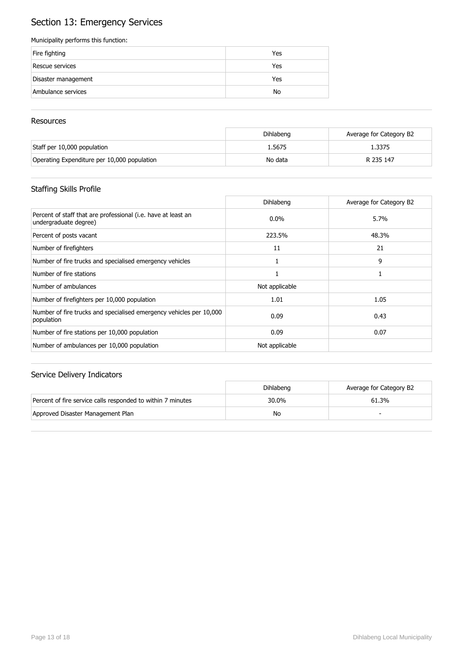# Section 13: Emergency Services

### Municipality performs this function:

| Fire fighting       | Yes |
|---------------------|-----|
| Rescue services     | Yes |
| Disaster management | Yes |
| Ambulance services  | No  |

### **Resources**

|                                             | Dihlabeng | Average for Category B2 |
|---------------------------------------------|-----------|-------------------------|
| Staff per 10,000 population                 | 1.5675    | 1.3375                  |
| Operating Expenditure per 10,000 population | No data   | R 235 147               |

## Staffing Skills Profile

|                                                                                        | Dihlabeng      | Average for Category B2 |
|----------------------------------------------------------------------------------------|----------------|-------------------------|
| Percent of staff that are professional (i.e. have at least an<br>undergraduate degree) | $0.0\%$        | 5.7%                    |
| Percent of posts vacant                                                                | 223.5%         | 48.3%                   |
| Number of firefighters                                                                 | 11             | 21                      |
| Number of fire trucks and specialised emergency vehicles                               |                | 9                       |
| Number of fire stations                                                                |                |                         |
| Number of ambulances                                                                   | Not applicable |                         |
| Number of firefighters per 10,000 population                                           | 1.01           | 1.05                    |
| Number of fire trucks and specialised emergency vehicles per 10,000<br>population      | 0.09           | 0.43                    |
| Number of fire stations per 10,000 population                                          | 0.09           | 0.07                    |
| Number of ambulances per 10,000 population                                             | Not applicable |                         |

|                                                             | Dihlabeng | Average for Category B2 |
|-------------------------------------------------------------|-----------|-------------------------|
| Percent of fire service calls responded to within 7 minutes | 30.0%     | 61.3%                   |
| Approved Disaster Management Plan                           | No        |                         |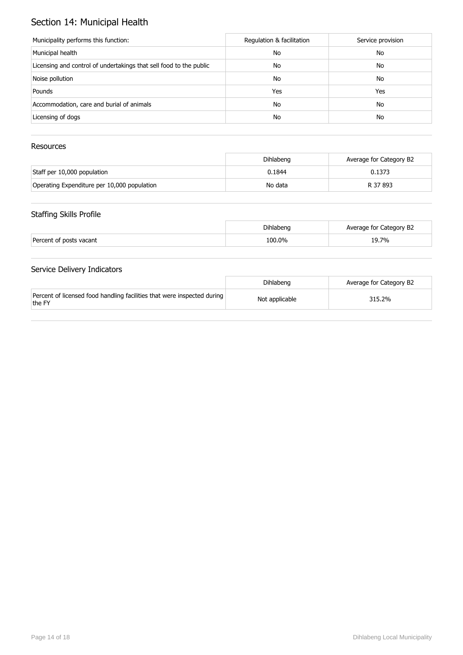# Section 14: Municipal Health

| Municipality performs this function:                               | Regulation & facilitation | Service provision |
|--------------------------------------------------------------------|---------------------------|-------------------|
| Municipal health                                                   | No                        | No                |
| Licensing and control of undertakings that sell food to the public | No                        | No                |
| Noise pollution                                                    | No                        | No                |
| Pounds                                                             | Yes                       | Yes               |
| Accommodation, care and burial of animals                          | No                        | No                |
| Licensing of dogs                                                  | No                        | No                |

### Resources

|                                             | Dihlabeng | Average for Category B2 |
|---------------------------------------------|-----------|-------------------------|
| Staff per 10,000 population                 | 0.1844    | 0.1373                  |
| Operating Expenditure per 10,000 population | No data   | R 37 893                |

### Staffing Skills Profile

|                         | Dihlabeng | Average for Category B2 |
|-------------------------|-----------|-------------------------|
| Percent of posts vacant | 100.0%    | 19.7%                   |

|                                                                                   | Dihlabeng      | Average for Category B2 |
|-----------------------------------------------------------------------------------|----------------|-------------------------|
| Percent of licensed food handling facilities that were inspected during<br>the FY | Not applicable | 315.2%                  |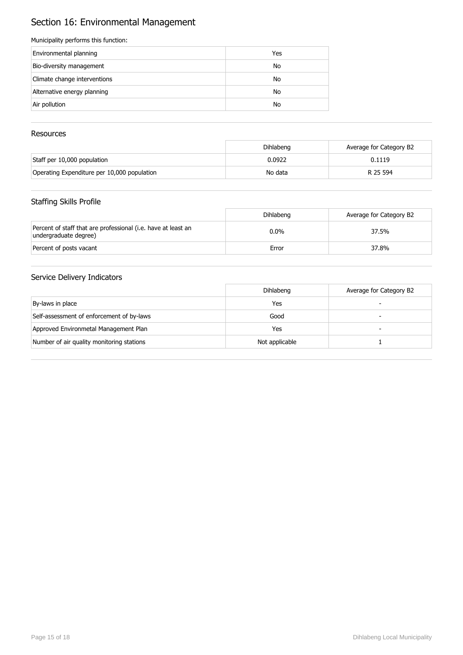# Section 16: Environmental Management

### Municipality performs this function:

| Environmental planning       | Yes |
|------------------------------|-----|
| Bio-diversity management     | No  |
| Climate change interventions | No  |
| Alternative energy planning  | No  |
| Air pollution                | No  |

### Resources

|                                             | Dihlabeng | Average for Category B2 |
|---------------------------------------------|-----------|-------------------------|
| Staff per 10,000 population                 | 0.0922    | 0.1119                  |
| Operating Expenditure per 10,000 population | No data   | R 25 594                |

### Staffing Skills Profile

|                                                                                        | Dihlabeng | Average for Category B2 |
|----------------------------------------------------------------------------------------|-----------|-------------------------|
| Percent of staff that are professional (i.e. have at least an<br>undergraduate degree) | $0.0\%$   | 37.5%                   |
| Percent of posts vacant                                                                | Error     | 37.8%                   |

|                                           | Dihlabeng      | Average for Category B2 |
|-------------------------------------------|----------------|-------------------------|
| By-laws in place                          | Yes            |                         |
| Self-assessment of enforcement of by-laws | Good           | -                       |
| Approved Environmetal Management Plan     | Yes            |                         |
| Number of air quality monitoring stations | Not applicable |                         |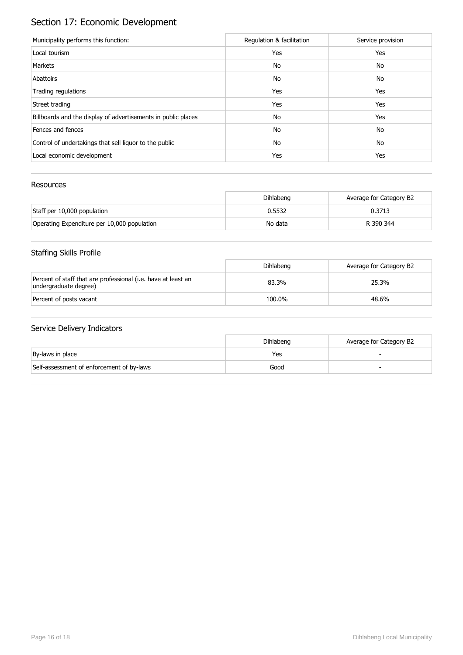# Section 17: Economic Development

| Municipality performs this function:                          | Regulation & facilitation | Service provision |
|---------------------------------------------------------------|---------------------------|-------------------|
| Local tourism                                                 | Yes                       | Yes               |
| Markets                                                       | No                        | No                |
| Abattoirs                                                     | No                        | No                |
| Trading regulations                                           | Yes                       | Yes               |
| Street trading                                                | Yes                       | Yes               |
| Billboards and the display of advertisements in public places | No                        | Yes               |
| Fences and fences                                             | No                        | No                |
| Control of undertakings that sell liquor to the public        | No                        | No                |
| Local economic development                                    | Yes                       | Yes               |

### Resources

|                                             | Dihlabeng | Average for Category B2 |
|---------------------------------------------|-----------|-------------------------|
| Staff per 10,000 population                 | 0.5532    | 0.3713                  |
| Operating Expenditure per 10,000 population | No data   | R 390 344               |

## Staffing Skills Profile

|                                                                                        | Dihlabeng | Average for Category B2 |
|----------------------------------------------------------------------------------------|-----------|-------------------------|
| Percent of staff that are professional (i.e. have at least an<br>undergraduate degree) | 83.3%     | 25.3%                   |
| Percent of posts vacant                                                                | 100.0%    | 48.6%                   |

|                                           | Dihlabeng | Average for Category B2 |
|-------------------------------------------|-----------|-------------------------|
| By-laws in place                          | Yes       |                         |
| Self-assessment of enforcement of by-laws | Good      |                         |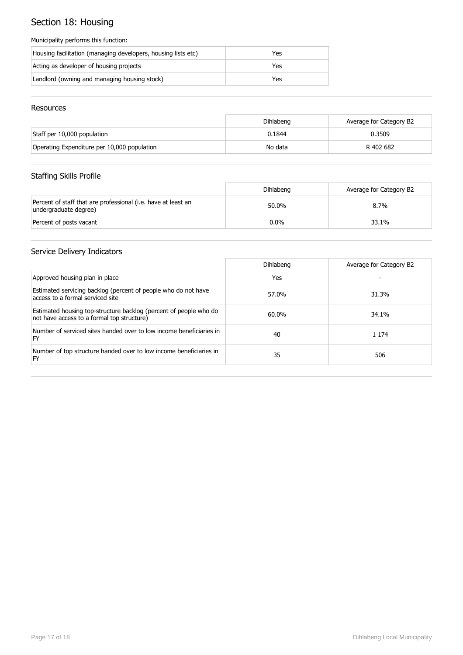# Section 18: Housing

### Municipality performs this function:

| Housing facilitation (managing developers, housing lists etc) | Yes |
|---------------------------------------------------------------|-----|
| Acting as developer of housing projects                       | Yes |
| Landlord (owning and managing housing stock)                  | Yes |

### Resources

|                                             | Dihlabeng | Average for Category B2 |
|---------------------------------------------|-----------|-------------------------|
| Staff per 10,000 population                 | 0.1844    | 0.3509                  |
| Operating Expenditure per 10,000 population | No data   | R 402 682               |

## Staffing Skills Profile

|                                                                                        | Dihlabeng | Average for Category B2 |
|----------------------------------------------------------------------------------------|-----------|-------------------------|
| Percent of staff that are professional (i.e. have at least an<br>undergraduate degree) | 50.0%     | $8.7\%$                 |
| Percent of posts vacant                                                                | $0.0\%$   | 33.1%                   |

|                                                                                                                 | Dihlabeng | Average for Category B2 |
|-----------------------------------------------------------------------------------------------------------------|-----------|-------------------------|
| Approved housing plan in place                                                                                  | Yes       |                         |
| Estimated servicing backlog (percent of people who do not have<br>access to a formal serviced site              | 57.0%     | 31.3%                   |
| Estimated housing top-structure backlog (percent of people who do<br>not have access to a formal top structure) | 60.0%     | 34.1%                   |
| Number of serviced sites handed over to low income beneficiaries in<br>FY                                       | 40        | 1 1 7 4                 |
| Number of top structure handed over to low income beneficiaries in<br>FY                                        | 35        | 506                     |